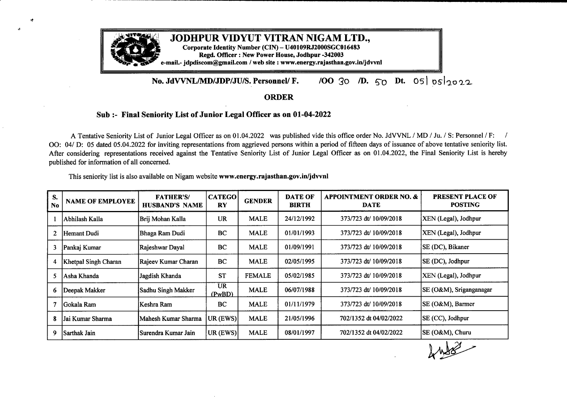

## **No. JdVVNL/MD/JDP/JU/S. Personnel/ F.** */00* 30 */D.* 5o **Dt.** Os/ osl2022

## **ORDER**

## **Sub:- Final Seniority List of Junior Legal Officer as on 01-04-2022**

<sup>A</sup> Tentative Seniority List of Junior Legal Officer as on 01.04.2022 was published vide this office order No. JdVVNL /MD/ Ju./ S: Personnel *IF: <sup>I</sup>* OO: 04/ D: 05 dated 05.04.2022 for inviting representations from aggrieved persons within a period of fifteen days of issuance of above tentative seniority list. After considering representations received against the Tentative Seniority List of Junior Legal Officer as on 01.04.2022, the Final Seniority List is hereby published for information of all concerned.

0

| S.<br>N <sub>0</sub> | <b>NAME OF EMPLOYEE</b> | <b>FATHER'S/</b><br><b>HUSBAND'S NAME</b> | <b>CATEGO</b><br><b>RY</b> | <b>GENDER</b> | <b>DATE OF</b><br><b>BIRTH</b> | <b>APPOINTMENT ORDER NO. &amp;</b><br><b>DATE</b> | <b>PRESENT PLACE OF</b><br><b>POSTING</b> |
|----------------------|-------------------------|-------------------------------------------|----------------------------|---------------|--------------------------------|---------------------------------------------------|-------------------------------------------|
|                      | Abhilash Kalla          | Brij Mohan Kalla                          | <b>UR</b>                  | <b>MALE</b>   | 24/12/1992                     | 373/723 dt/ 10/09/2018                            | XEN (Legal), Jodhpur                      |
| 2                    | Hemant Dudi             | Bhaga Ram Dudi                            | <b>BC</b>                  | <b>MALE</b>   | 01/01/1993                     | 373/723 dt/ 10/09/2018                            | XEN (Legal), Jodhpur                      |
| 3                    | Pankaj Kumar            | Rajeshwar Dayal                           | BC                         | <b>MALE</b>   | 01/09/1991                     | 373/723 dt/ 10/09/2018                            | SE (DC), Bikaner                          |
| 4                    | Khetpal Singh Charan    | Rajeev Kumar Charan                       | BC                         | <b>MALE</b>   | 02/05/1995                     | 373/723 dt/ 10/09/2018                            | SE (DC), Jodhpur                          |
| 5.                   | Asha Khanda             | Jagdish Khanda                            | <b>ST</b>                  | <b>FEMALE</b> | 05/02/1985                     | 373/723 dt/ 10/09/2018                            | XEN (Legal), Jodhpur                      |
| 6.                   | Deepak Makker           | Sadhu Singh Makker                        | UR.<br>(PwBD)              | <b>MALE</b>   | 06/07/1988                     | 373/723 dt/ 10/09/2018                            | SE (O&M), Sriganganagar                   |
|                      | lGokala Ram             | Keshra Ram                                | BC                         | <b>MALE</b>   | 01/11/1979                     | 373/723 dt/ 10/09/2018                            | SE (O&M), Barmer                          |
| 8                    | Jai Kumar Sharma        | Mahesh Kumar Sharma                       | UR (EWS)                   | <b>MALE</b>   | 21/05/1996                     | 702/1352 dt 04/02/2022                            | SE (CC), Jodhpur                          |
| 9                    | Sarthak Jain            | Surendra Kumar Jain                       | UR (EWS)                   | <b>MALE</b>   | 08/01/1997                     | 702/1352 dt 04/02/2022                            | SE (O&M), Churu                           |